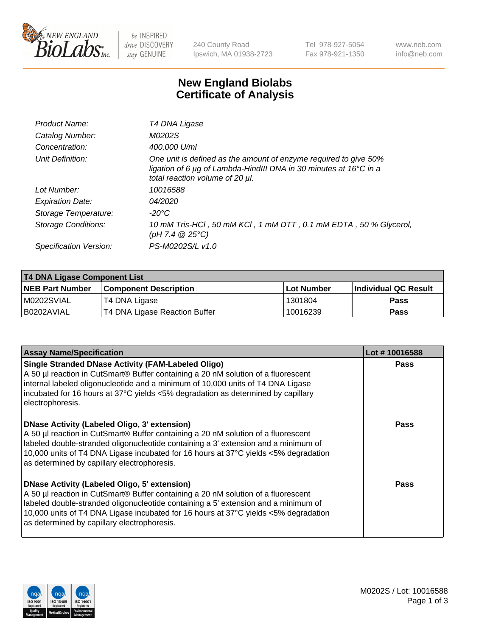

be INSPIRED drive DISCOVERY stay GENUINE

240 County Road Ipswich, MA 01938-2723 Tel 978-927-5054 Fax 978-921-1350 www.neb.com info@neb.com

## **New England Biolabs Certificate of Analysis**

| Product Name:           | T4 DNA Ligase                                                                                                                                                            |
|-------------------------|--------------------------------------------------------------------------------------------------------------------------------------------------------------------------|
| Catalog Number:         | M0202S                                                                                                                                                                   |
| Concentration:          | 400,000 U/ml                                                                                                                                                             |
| Unit Definition:        | One unit is defined as the amount of enzyme required to give 50%<br>ligation of 6 µg of Lambda-HindIII DNA in 30 minutes at 16°C in a<br>total reaction volume of 20 µl. |
| Lot Number:             | 10016588                                                                                                                                                                 |
| <b>Expiration Date:</b> | 04/2020                                                                                                                                                                  |
| Storage Temperature:    | $-20^{\circ}$ C                                                                                                                                                          |
| Storage Conditions:     | 10 mM Tris-HCl, 50 mM KCl, 1 mM DTT, 0.1 mM EDTA, 50 % Glycerol,<br>(pH 7.4 $@25°C$ )                                                                                    |
| Specification Version:  | PS-M0202S/L v1.0                                                                                                                                                         |

| <b>T4 DNA Ligase Component List</b> |                               |             |                       |  |
|-------------------------------------|-------------------------------|-------------|-----------------------|--|
| <b>NEB Part Number</b>              | <b>Component Description</b>  | ⊺Lot Number | ∣Individual QC Result |  |
| M0202SVIAL                          | T4 DNA Ligase                 | 1301804     | <b>Pass</b>           |  |
| B0202AVIAL                          | T4 DNA Ligase Reaction Buffer | 10016239    | <b>Pass</b>           |  |

| <b>Assay Name/Specification</b>                                                                                                                                                                                                                                                                                                                                      | Lot #10016588 |
|----------------------------------------------------------------------------------------------------------------------------------------------------------------------------------------------------------------------------------------------------------------------------------------------------------------------------------------------------------------------|---------------|
| <b>Single Stranded DNase Activity (FAM-Labeled Oligo)</b><br>A 50 µl reaction in CutSmart® Buffer containing a 20 nM solution of a fluorescent<br>internal labeled oligonucleotide and a minimum of 10,000 units of T4 DNA Ligase<br>incubated for 16 hours at 37°C yields <5% degradation as determined by capillary<br>electrophoresis.                            | <b>Pass</b>   |
| <b>DNase Activity (Labeled Oligo, 3' extension)</b><br>A 50 µl reaction in CutSmart® Buffer containing a 20 nM solution of a fluorescent<br>labeled double-stranded oligonucleotide containing a 3' extension and a minimum of<br>10,000 units of T4 DNA Ligase incubated for 16 hours at 37°C yields <5% degradation<br>as determined by capillary electrophoresis. | Pass          |
| <b>DNase Activity (Labeled Oligo, 5' extension)</b><br>A 50 µl reaction in CutSmart® Buffer containing a 20 nM solution of a fluorescent<br>labeled double-stranded oligonucleotide containing a 5' extension and a minimum of<br>10,000 units of T4 DNA Ligase incubated for 16 hours at 37°C yields <5% degradation<br>as determined by capillary electrophoresis. | Pass          |

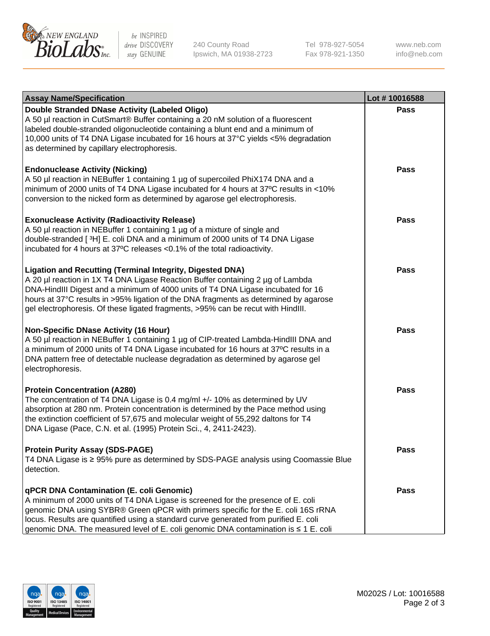

be INSPIRED drive DISCOVERY stay GENUINE

240 County Road Ipswich, MA 01938-2723 Tel 978-927-5054 Fax 978-921-1350

www.neb.com info@neb.com

| <b>Assay Name/Specification</b>                                                                                                                                                                                                                                                                                                                                                                                    | Lot #10016588 |
|--------------------------------------------------------------------------------------------------------------------------------------------------------------------------------------------------------------------------------------------------------------------------------------------------------------------------------------------------------------------------------------------------------------------|---------------|
| Double Stranded DNase Activity (Labeled Oligo)<br>A 50 µl reaction in CutSmart® Buffer containing a 20 nM solution of a fluorescent<br>labeled double-stranded oligonucleotide containing a blunt end and a minimum of<br>10,000 units of T4 DNA Ligase incubated for 16 hours at 37°C yields <5% degradation<br>as determined by capillary electrophoresis.                                                       | Pass          |
| <b>Endonuclease Activity (Nicking)</b><br>A 50 µl reaction in NEBuffer 1 containing 1 µg of supercoiled PhiX174 DNA and a<br>minimum of 2000 units of T4 DNA Ligase incubated for 4 hours at 37°C results in <10%<br>conversion to the nicked form as determined by agarose gel electrophoresis.                                                                                                                   | <b>Pass</b>   |
| <b>Exonuclease Activity (Radioactivity Release)</b><br>A 50 µl reaction in NEBuffer 1 containing 1 µg of a mixture of single and<br>double-stranded [3H] E. coli DNA and a minimum of 2000 units of T4 DNA Ligase<br>incubated for 4 hours at 37°C releases <0.1% of the total radioactivity.                                                                                                                      | <b>Pass</b>   |
| <b>Ligation and Recutting (Terminal Integrity, Digested DNA)</b><br>A 20 µl reaction in 1X T4 DNA Ligase Reaction Buffer containing 2 µg of Lambda<br>DNA-HindIII Digest and a minimum of 4000 units of T4 DNA Ligase incubated for 16<br>hours at 37°C results in >95% ligation of the DNA fragments as determined by agarose<br>gel electrophoresis. Of these ligated fragments, >95% can be recut with HindIII. | Pass          |
| <b>Non-Specific DNase Activity (16 Hour)</b><br>A 50 µl reaction in NEBuffer 1 containing 1 µg of CIP-treated Lambda-HindIII DNA and<br>a minimum of 2000 units of T4 DNA Ligase incubated for 16 hours at 37°C results in a<br>DNA pattern free of detectable nuclease degradation as determined by agarose gel<br>electrophoresis.                                                                               | <b>Pass</b>   |
| <b>Protein Concentration (A280)</b><br>The concentration of T4 DNA Ligase is 0.4 mg/ml +/- 10% as determined by UV<br>absorption at 280 nm. Protein concentration is determined by the Pace method using<br>the extinction coefficient of 57,675 and molecular weight of 55,292 daltons for T4<br>DNA Ligase (Pace, C.N. et al. (1995) Protein Sci., 4, 2411-2423).                                                | <b>Pass</b>   |
| <b>Protein Purity Assay (SDS-PAGE)</b><br>T4 DNA Ligase is ≥ 95% pure as determined by SDS-PAGE analysis using Coomassie Blue<br>detection.                                                                                                                                                                                                                                                                        | Pass          |
| qPCR DNA Contamination (E. coli Genomic)<br>A minimum of 2000 units of T4 DNA Ligase is screened for the presence of E. coli<br>genomic DNA using SYBR® Green qPCR with primers specific for the E. coli 16S rRNA<br>locus. Results are quantified using a standard curve generated from purified E. coli<br>genomic DNA. The measured level of E. coli genomic DNA contamination is ≤ 1 E. coli                   | <b>Pass</b>   |